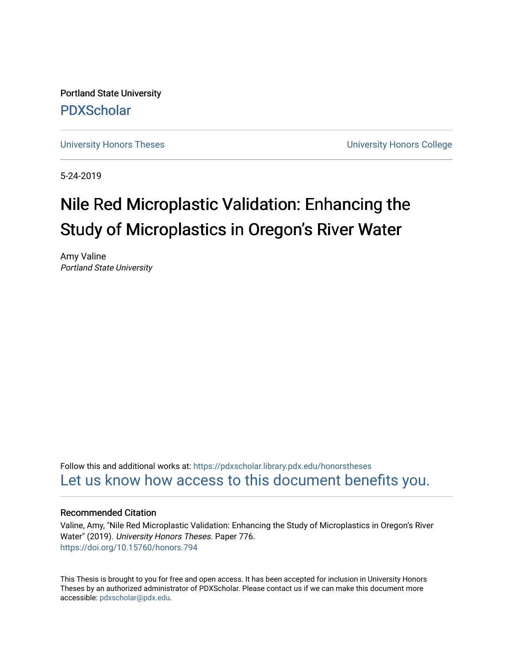Portland State University [PDXScholar](https://pdxscholar.library.pdx.edu/)

[University Honors Theses](https://pdxscholar.library.pdx.edu/honorstheses) **University Honors College** 

5-24-2019

# Nile Red Microplastic Validation: Enhancing the Study of Microplastics in Oregon's River Water

Amy Valine Portland State University

Follow this and additional works at: [https://pdxscholar.library.pdx.edu/honorstheses](https://pdxscholar.library.pdx.edu/honorstheses?utm_source=pdxscholar.library.pdx.edu%2Fhonorstheses%2F776&utm_medium=PDF&utm_campaign=PDFCoverPages)  [Let us know how access to this document benefits you.](http://library.pdx.edu/services/pdxscholar-services/pdxscholar-feedback/) 

# Recommended Citation

Valine, Amy, "Nile Red Microplastic Validation: Enhancing the Study of Microplastics in Oregon's River Water" (2019). University Honors Theses. Paper 776. <https://doi.org/10.15760/honors.794>

This Thesis is brought to you for free and open access. It has been accepted for inclusion in University Honors Theses by an authorized administrator of PDXScholar. Please contact us if we can make this document more accessible: [pdxscholar@pdx.edu.](mailto:pdxscholar@pdx.edu)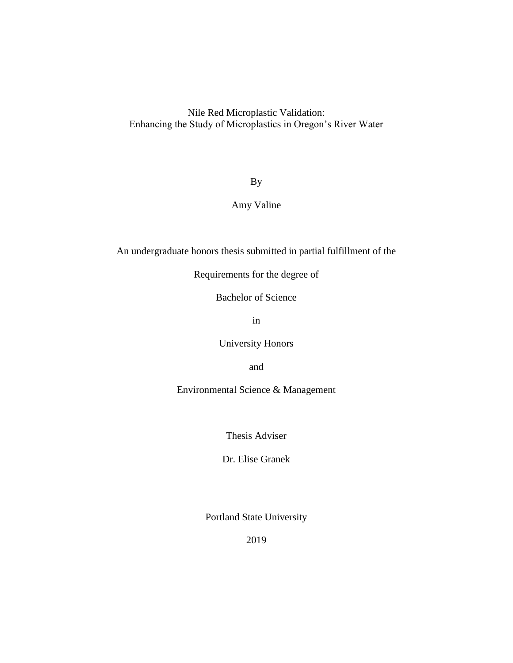Nile Red Microplastic Validation: Enhancing the Study of Microplastics in Oregon's River Water

By

Amy Valine

An undergraduate honors thesis submitted in partial fulfillment of the

Requirements for the degree of

Bachelor of Science

in

University Honors

and

Environmental Science & Management

Thesis Adviser

Dr. Elise Granek

Portland State University

2019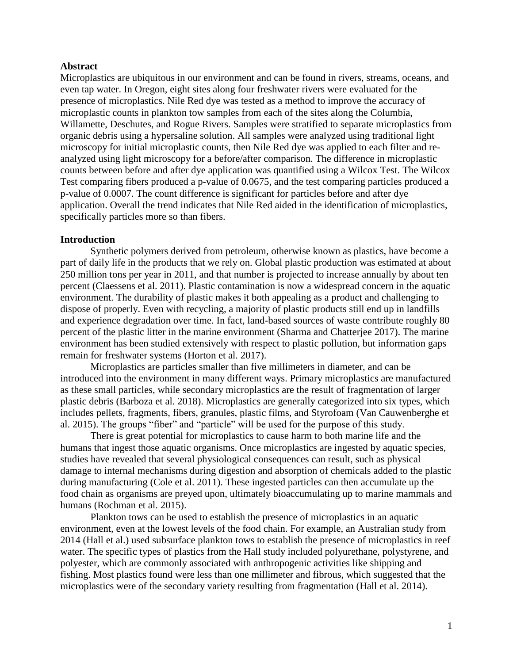# **Abstract**

Microplastics are ubiquitous in our environment and can be found in rivers, streams, oceans, and even tap water. In Oregon, eight sites along four freshwater rivers were evaluated for the presence of microplastics. Nile Red dye was tested as a method to improve the accuracy of microplastic counts in plankton tow samples from each of the sites along the Columbia, Willamette, Deschutes, and Rogue Rivers. Samples were stratified to separate microplastics from organic debris using a hypersaline solution. All samples were analyzed using traditional light microscopy for initial microplastic counts, then Nile Red dye was applied to each filter and reanalyzed using light microscopy for a before/after comparison. The difference in microplastic counts between before and after dye application was quantified using a Wilcox Test. The Wilcox Test comparing fibers produced a p-value of 0.0675, and the test comparing particles produced a p-value of 0.0007. The count difference is significant for particles before and after dye application. Overall the trend indicates that Nile Red aided in the identification of microplastics, specifically particles more so than fibers.

# **Introduction**

Synthetic polymers derived from petroleum, otherwise known as plastics, have become a part of daily life in the products that we rely on. Global plastic production was estimated at about 250 million tons per year in 2011, and that number is projected to increase annually by about ten percent (Claessens et al. 2011). Plastic contamination is now a widespread concern in the aquatic environment. The durability of plastic makes it both appealing as a product and challenging to dispose of properly. Even with recycling, a majority of plastic products still end up in landfills and experience degradation over time. In fact, land-based sources of waste contribute roughly 80 percent of the plastic litter in the marine environment (Sharma and Chatterjee 2017). The marine environment has been studied extensively with respect to plastic pollution, but information gaps remain for freshwater systems (Horton et al. 2017).

Microplastics are particles smaller than five millimeters in diameter, and can be introduced into the environment in many different ways. Primary microplastics are manufactured as these small particles, while secondary microplastics are the result of fragmentation of larger plastic debris (Barboza et al. 2018). Microplastics are generally categorized into six types, which includes pellets, fragments, fibers, granules, plastic films, and Styrofoam (Van Cauwenberghe et al. 2015). The groups "fiber" and "particle" will be used for the purpose of this study.

There is great potential for microplastics to cause harm to both marine life and the humans that ingest those aquatic organisms. Once microplastics are ingested by aquatic species, studies have revealed that several physiological consequences can result, such as physical damage to internal mechanisms during digestion and absorption of chemicals added to the plastic during manufacturing (Cole et al. 2011). These ingested particles can then accumulate up the food chain as organisms are preyed upon, ultimately bioaccumulating up to marine mammals and humans (Rochman et al. 2015).

Plankton tows can be used to establish the presence of microplastics in an aquatic environment, even at the lowest levels of the food chain. For example, an Australian study from 2014 (Hall et al.) used subsurface plankton tows to establish the presence of microplastics in reef water. The specific types of plastics from the Hall study included polyurethane, polystyrene, and polyester, which are commonly associated with anthropogenic activities like shipping and fishing. Most plastics found were less than one millimeter and fibrous, which suggested that the microplastics were of the secondary variety resulting from fragmentation (Hall et al. 2014).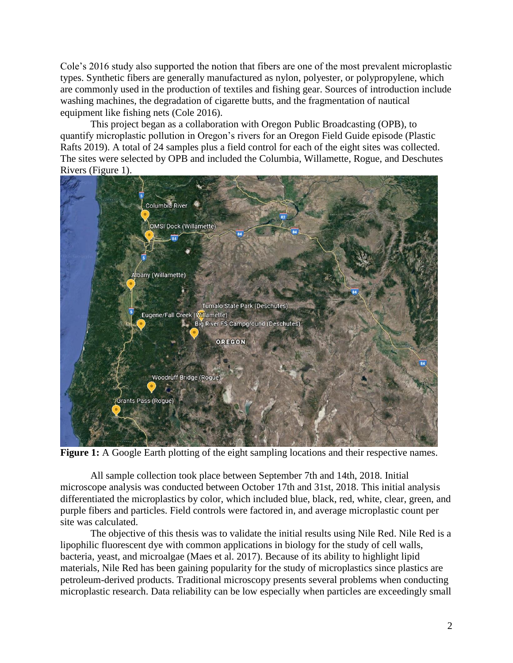Cole's 2016 study also supported the notion that fibers are one of the most prevalent microplastic types. Synthetic fibers are generally manufactured as nylon, polyester, or polypropylene, which are commonly used in the production of textiles and fishing gear. Sources of introduction include washing machines, the degradation of cigarette butts, and the fragmentation of nautical equipment like fishing nets (Cole 2016).

This project began as a collaboration with Oregon Public Broadcasting (OPB), to quantify microplastic pollution in Oregon's rivers for an Oregon Field Guide episode (Plastic Rafts 2019). A total of 24 samples plus a field control for each of the eight sites was collected. The sites were selected by OPB and included the Columbia, Willamette, Rogue, and Deschutes Rivers (Figure 1).



**Figure 1:** A Google Earth plotting of the eight sampling locations and their respective names.

All sample collection took place between September 7th and 14th, 2018. Initial microscope analysis was conducted between October 17th and 31st, 2018. This initial analysis differentiated the microplastics by color, which included blue, black, red, white, clear, green, and purple fibers and particles. Field controls were factored in, and average microplastic count per site was calculated.

The objective of this thesis was to validate the initial results using Nile Red. Nile Red is a lipophilic fluorescent dye with common applications in biology for the study of cell walls, bacteria, yeast, and microalgae (Maes et al. 2017). Because of its ability to highlight lipid materials, Nile Red has been gaining popularity for the study of microplastics since plastics are petroleum-derived products. Traditional microscopy presents several problems when conducting microplastic research. Data reliability can be low especially when particles are exceedingly small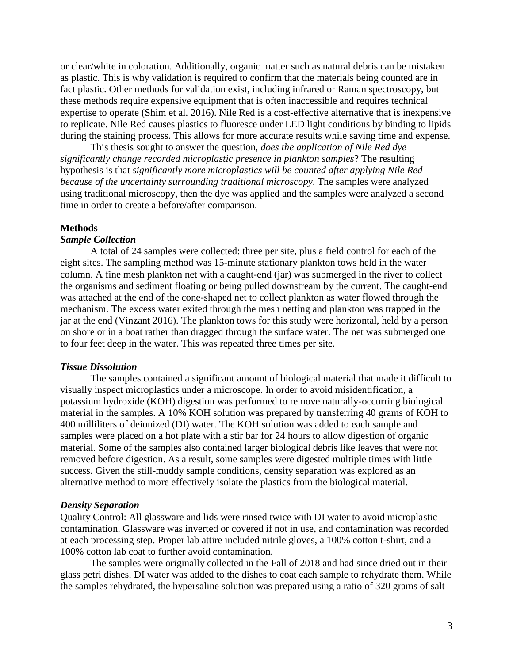or clear/white in coloration. Additionally, organic matter such as natural debris can be mistaken as plastic. This is why validation is required to confirm that the materials being counted are in fact plastic. Other methods for validation exist, including infrared or Raman spectroscopy, but these methods require expensive equipment that is often inaccessible and requires technical expertise to operate (Shim et al. 2016). Nile Red is a cost-effective alternative that is inexpensive to replicate. Nile Red causes plastics to fluoresce under LED light conditions by binding to lipids during the staining process. This allows for more accurate results while saving time and expense.

This thesis sought to answer the question, *does the application of Nile Red dye significantly change recorded microplastic presence in plankton samples*? The resulting hypothesis is that *significantly more microplastics will be counted after applying Nile Red because of the uncertainty surrounding traditional microscopy*. The samples were analyzed using traditional microscopy, then the dye was applied and the samples were analyzed a second time in order to create a before/after comparison.

#### **Methods**

# *Sample Collection*

A total of 24 samples were collected: three per site, plus a field control for each of the eight sites. The sampling method was 15-minute stationary plankton tows held in the water column. A fine mesh plankton net with a caught-end (jar) was submerged in the river to collect the organisms and sediment floating or being pulled downstream by the current. The caught-end was attached at the end of the cone-shaped net to collect plankton as water flowed through the mechanism. The excess water exited through the mesh netting and plankton was trapped in the jar at the end (Vinzant 2016). The plankton tows for this study were horizontal, held by a person on shore or in a boat rather than dragged through the surface water. The net was submerged one to four feet deep in the water. This was repeated three times per site.

#### *Tissue Dissolution*

The samples contained a significant amount of biological material that made it difficult to visually inspect microplastics under a microscope. In order to avoid misidentification, a potassium hydroxide (KOH) digestion was performed to remove naturally-occurring biological material in the samples. A 10% KOH solution was prepared by transferring 40 grams of KOH to 400 milliliters of deionized (DI) water. The KOH solution was added to each sample and samples were placed on a hot plate with a stir bar for 24 hours to allow digestion of organic material. Some of the samples also contained larger biological debris like leaves that were not removed before digestion. As a result, some samples were digested multiple times with little success. Given the still-muddy sample conditions, density separation was explored as an alternative method to more effectively isolate the plastics from the biological material.

#### *Density Separation*

Quality Control: All glassware and lids were rinsed twice with DI water to avoid microplastic contamination. Glassware was inverted or covered if not in use, and contamination was recorded at each processing step. Proper lab attire included nitrile gloves, a 100% cotton t-shirt, and a 100% cotton lab coat to further avoid contamination.

The samples were originally collected in the Fall of 2018 and had since dried out in their glass petri dishes. DI water was added to the dishes to coat each sample to rehydrate them. While the samples rehydrated, the hypersaline solution was prepared using a ratio of 320 grams of salt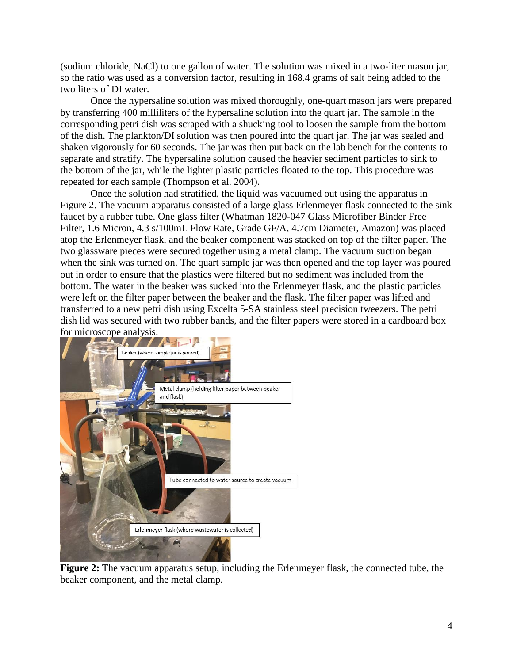(sodium chloride, NaCl) to one gallon of water. The solution was mixed in a two-liter mason jar, so the ratio was used as a conversion factor, resulting in 168.4 grams of salt being added to the two liters of DI water.

Once the hypersaline solution was mixed thoroughly, one-quart mason jars were prepared by transferring 400 milliliters of the hypersaline solution into the quart jar. The sample in the corresponding petri dish was scraped with a shucking tool to loosen the sample from the bottom of the dish. The plankton/DI solution was then poured into the quart jar. The jar was sealed and shaken vigorously for 60 seconds. The jar was then put back on the lab bench for the contents to separate and stratify. The hypersaline solution caused the heavier sediment particles to sink to the bottom of the jar, while the lighter plastic particles floated to the top. This procedure was repeated for each sample (Thompson et al. 2004).

Once the solution had stratified, the liquid was vacuumed out using the apparatus in Figure 2. The vacuum apparatus consisted of a large glass Erlenmeyer flask connected to the sink faucet by a rubber tube. One glass filter (Whatman 1820-047 Glass Microfiber Binder Free Filter, 1.6 Micron, 4.3 s/100mL Flow Rate, Grade GF/A, 4.7cm Diameter, Amazon) was placed atop the Erlenmeyer flask, and the beaker component was stacked on top of the filter paper. The two glassware pieces were secured together using a metal clamp. The vacuum suction began when the sink was turned on. The quart sample jar was then opened and the top layer was poured out in order to ensure that the plastics were filtered but no sediment was included from the bottom. The water in the beaker was sucked into the Erlenmeyer flask, and the plastic particles were left on the filter paper between the beaker and the flask. The filter paper was lifted and transferred to a new petri dish using Excelta 5-SA stainless steel precision tweezers. The petri dish lid was secured with two rubber bands, and the filter papers were stored in a cardboard box for microscope analysis.



**Figure 2:** The vacuum apparatus setup, including the Erlenmeyer flask, the connected tube, the beaker component, and the metal clamp.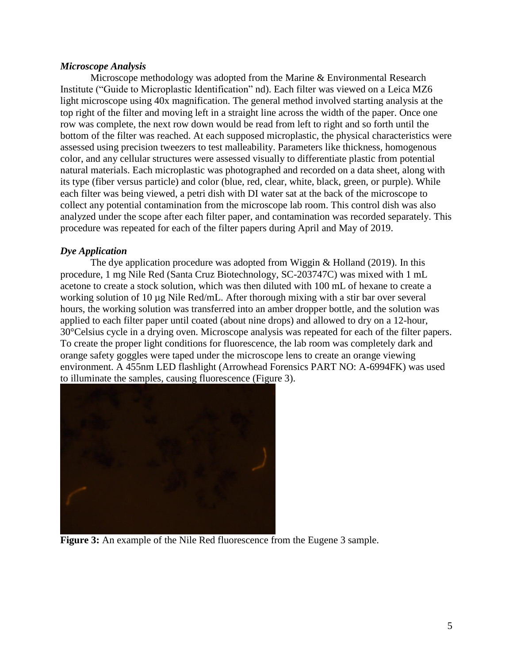# *Microscope Analysis*

Microscope methodology was adopted from the Marine & Environmental Research Institute ("Guide to Microplastic Identification" nd). Each filter was viewed on a Leica MZ6 light microscope using 40x magnification. The general method involved starting analysis at the top right of the filter and moving left in a straight line across the width of the paper. Once one row was complete, the next row down would be read from left to right and so forth until the bottom of the filter was reached. At each supposed microplastic, the physical characteristics were assessed using precision tweezers to test malleability. Parameters like thickness, homogenous color, and any cellular structures were assessed visually to differentiate plastic from potential natural materials. Each microplastic was photographed and recorded on a data sheet, along with its type (fiber versus particle) and color (blue, red, clear, white, black, green, or purple). While each filter was being viewed, a petri dish with DI water sat at the back of the microscope to collect any potential contamination from the microscope lab room. This control dish was also analyzed under the scope after each filter paper, and contamination was recorded separately. This procedure was repeated for each of the filter papers during April and May of 2019.

# *Dye Application*

The dye application procedure was adopted from Wiggin & Holland (2019). In this procedure, 1 mg Nile Red (Santa Cruz Biotechnology, SC-203747C) was mixed with 1 mL acetone to create a stock solution, which was then diluted with 100 mL of hexane to create a working solution of 10 µg Nile Red/mL. After thorough mixing with a stir bar over several hours, the working solution was transferred into an amber dropper bottle, and the solution was applied to each filter paper until coated (about nine drops) and allowed to dry on a 12-hour, 30°Celsius cycle in a drying oven. Microscope analysis was repeated for each of the filter papers. To create the proper light conditions for fluorescence, the lab room was completely dark and orange safety goggles were taped under the microscope lens to create an orange viewing environment. A 455nm LED flashlight (Arrowhead Forensics PART NO: A-6994FK) was used to illuminate the samples, causing fluorescence (Figure 3).



**Figure 3:** An example of the Nile Red fluorescence from the Eugene 3 sample.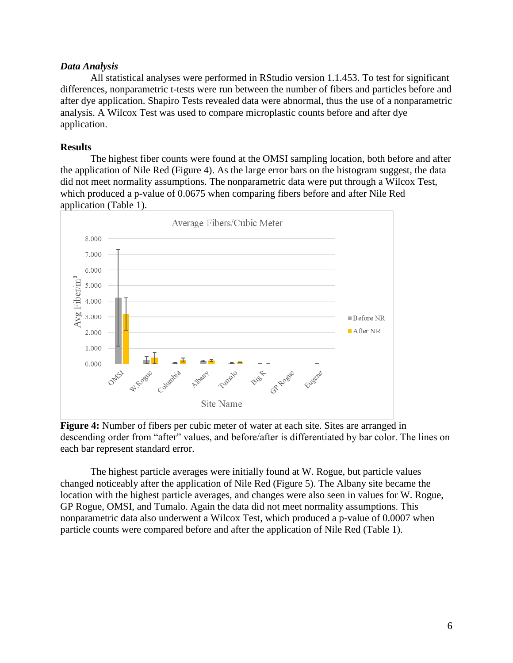# *Data Analysis*

All statistical analyses were performed in RStudio version 1.1.453. To test for significant differences, nonparametric t-tests were run between the number of fibers and particles before and after dye application. Shapiro Tests revealed data were abnormal, thus the use of a nonparametric analysis. A Wilcox Test was used to compare microplastic counts before and after dye application.

# **Results**

The highest fiber counts were found at the OMSI sampling location, both before and after the application of Nile Red (Figure 4). As the large error bars on the histogram suggest, the data did not meet normality assumptions. The nonparametric data were put through a Wilcox Test, which produced a p-value of 0.0675 when comparing fibers before and after Nile Red application (Table 1).



**Figure 4:** Number of fibers per cubic meter of water at each site. Sites are arranged in descending order from "after" values, and before/after is differentiated by bar color. The lines on each bar represent standard error.

The highest particle averages were initially found at W. Rogue, but particle values changed noticeably after the application of Nile Red (Figure 5). The Albany site became the location with the highest particle averages, and changes were also seen in values for W. Rogue, GP Rogue, OMSI, and Tumalo. Again the data did not meet normality assumptions. This nonparametric data also underwent a Wilcox Test, which produced a p-value of 0.0007 when particle counts were compared before and after the application of Nile Red (Table 1).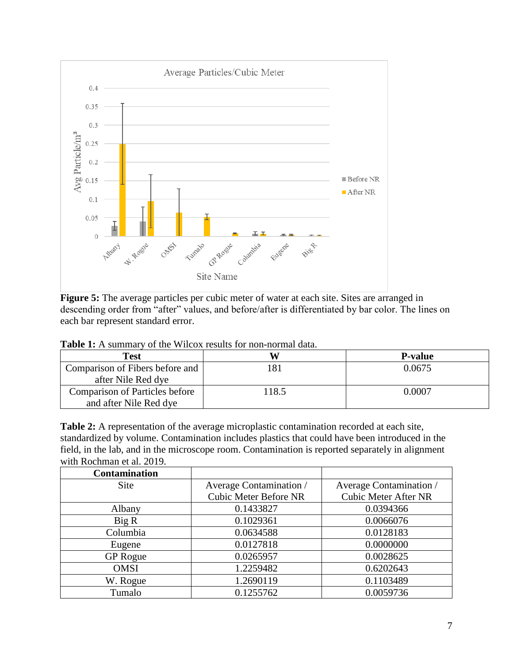

**Figure 5:** The average particles per cubic meter of water at each site. Sites are arranged in descending order from "after" values, and before/after is differentiated by bar color. The lines on each bar represent standard error.

| <b>Test</b>                           |       | <b>P-value</b> |
|---------------------------------------|-------|----------------|
| Comparison of Fibers before and       |       | 0.0675         |
| after Nile Red dye                    |       |                |
| <b>Comparison of Particles before</b> | 118.5 | 0.0007         |
| and after Nile Red dye                |       |                |

**Table 1:** A summary of the Wilcox results for non-normal data.

**Table 2:** A representation of the average microplastic contamination recorded at each site, standardized by volume. Contamination includes plastics that could have been introduced in the field, in the lab, and in the microscope room. Contamination is reported separately in alignment with Rochman et al. 2019.

| <b>Contamination</b> |                              |                             |
|----------------------|------------------------------|-----------------------------|
| Site                 | Average Contamination /      | Average Contamination /     |
|                      | <b>Cubic Meter Before NR</b> | <b>Cubic Meter After NR</b> |
| Albany               | 0.1433827                    | 0.0394366                   |
| Big R                | 0.1029361                    | 0.0066076                   |
| Columbia             | 0.0634588                    | 0.0128183                   |
| Eugene               | 0.0127818                    | 0.0000000                   |
| <b>GP</b> Rogue      | 0.0265957                    | 0.0028625                   |
| <b>OMSI</b>          | 1.2259482                    | 0.6202643                   |
| W. Rogue             | 1.2690119                    | 0.1103489                   |
| Tumalo               | 0.1255762                    | 0.0059736                   |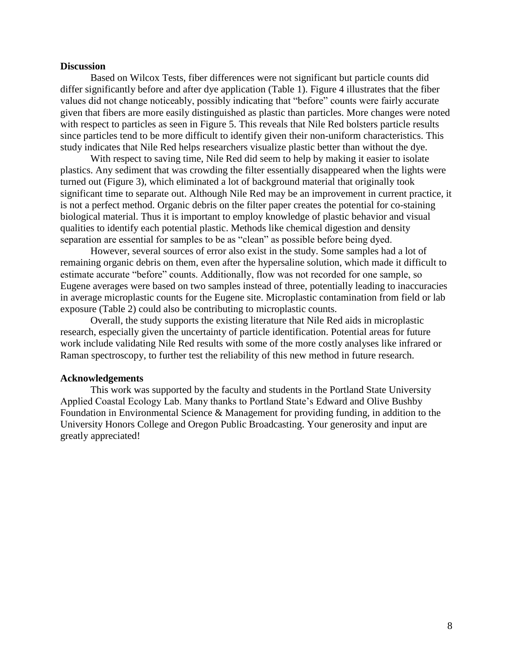#### **Discussion**

Based on Wilcox Tests, fiber differences were not significant but particle counts did differ significantly before and after dye application (Table 1). Figure 4 illustrates that the fiber values did not change noticeably, possibly indicating that "before" counts were fairly accurate given that fibers are more easily distinguished as plastic than particles. More changes were noted with respect to particles as seen in Figure 5. This reveals that Nile Red bolsters particle results since particles tend to be more difficult to identify given their non-uniform characteristics. This study indicates that Nile Red helps researchers visualize plastic better than without the dye.

With respect to saving time, Nile Red did seem to help by making it easier to isolate plastics. Any sediment that was crowding the filter essentially disappeared when the lights were turned out (Figure 3), which eliminated a lot of background material that originally took significant time to separate out. Although Nile Red may be an improvement in current practice, it is not a perfect method. Organic debris on the filter paper creates the potential for co-staining biological material. Thus it is important to employ knowledge of plastic behavior and visual qualities to identify each potential plastic. Methods like chemical digestion and density separation are essential for samples to be as "clean" as possible before being dyed.

However, several sources of error also exist in the study. Some samples had a lot of remaining organic debris on them, even after the hypersaline solution, which made it difficult to estimate accurate "before" counts. Additionally, flow was not recorded for one sample, so Eugene averages were based on two samples instead of three, potentially leading to inaccuracies in average microplastic counts for the Eugene site. Microplastic contamination from field or lab exposure (Table 2) could also be contributing to microplastic counts.

Overall, the study supports the existing literature that Nile Red aids in microplastic research, especially given the uncertainty of particle identification. Potential areas for future work include validating Nile Red results with some of the more costly analyses like infrared or Raman spectroscopy, to further test the reliability of this new method in future research.

#### **Acknowledgements**

This work was supported by the faculty and students in the Portland State University Applied Coastal Ecology Lab. Many thanks to Portland State's Edward and Olive Bushby Foundation in Environmental Science & Management for providing funding, in addition to the University Honors College and Oregon Public Broadcasting. Your generosity and input are greatly appreciated!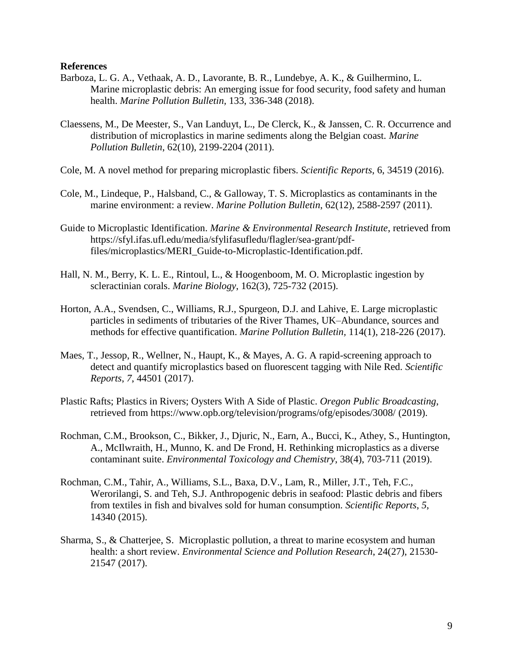## **References**

- Barboza, L. G. A., Vethaak, A. D., Lavorante, B. R., Lundebye, A. K., & Guilhermino, L. Marine microplastic debris: An emerging issue for food security, food safety and human health. *Marine Pollution Bulletin,* 133, 336-348 (2018).
- Claessens, M., De Meester, S., Van Landuyt, L., De Clerck, K., & Janssen, C. R. Occurrence and distribution of microplastics in marine sediments along the Belgian coast. *Marine Pollution Bulletin*, 62(10), 2199-2204 (2011).
- Cole, M. A novel method for preparing microplastic fibers. *Scientific Reports*, 6, 34519 (2016).
- Cole, M., Lindeque, P., Halsband, C., & Galloway, T. S. Microplastics as contaminants in the marine environment: a review. *Marine Pollution Bulletin*, 62(12), 2588-2597 (2011).
- Guide to Microplastic Identification. *Marine & Environmental Research Institute*, retrieved from [https://sfyl.ifas.ufl.edu/media/sfylifasufledu/flagler/sea-grant/pdf](https://sfyl.ifas.ufl.edu/media/sfylifasufledu/flagler/sea-grant/pdf-files/microplastics/MERI_Guide-to-Microplastic-Identification.pdf)[files/microplastics/MERI\\_Guide-to-Microplastic-Identification.pdf.](https://sfyl.ifas.ufl.edu/media/sfylifasufledu/flagler/sea-grant/pdf-files/microplastics/MERI_Guide-to-Microplastic-Identification.pdf)
- Hall, N. M., Berry, K. L. E., Rintoul, L., & Hoogenboom, M. O. Microplastic ingestion by scleractinian corals. *Marine Biology*, 162(3), 725-732 (2015).
- Horton, A.A., Svendsen, C., Williams, R.J., Spurgeon, D.J. and Lahive, E. Large microplastic particles in sediments of tributaries of the River Thames, UK–Abundance, sources and methods for effective quantification. *Marine Pollution Bulletin,* 114(1), 218-226 (2017).
- Maes, T., Jessop, R., Wellner, N., Haupt, K., & Mayes, A. G. A rapid-screening approach to detect and quantify microplastics based on fluorescent tagging with Nile Red. *Scientific Reports*, *7*, 44501 (2017).
- Plastic Rafts; Plastics in Rivers; Oysters With A Side of Plastic. *Oregon Public Broadcasting*, retrieved from<https://www.opb.org/television/programs/ofg/episodes/3008/> (2019).
- Rochman, C.M., Brookson, C., Bikker, J., Djuric, N., Earn, A., Bucci, K., Athey, S., Huntington, A., McIlwraith, H., Munno, K. and De Frond, H. Rethinking microplastics as a diverse contaminant suite. *Environmental Toxicology and Chemistry*, 38(4), 703-711 (2019).
- Rochman, C.M., Tahir, A., Williams, S.L., Baxa, D.V., Lam, R., Miller, J.T., Teh, F.C., Werorilangi, S. and Teh, S.J. Anthropogenic debris in seafood: Plastic debris and fibers from textiles in fish and bivalves sold for human consumption. *Scientific Reports*, *5*, 14340 (2015).
- Sharma, S., & Chatterjee, S. Microplastic pollution, a threat to marine ecosystem and human health: a short review. *Environmental Science and Pollution Research*, 24(27), 21530- 21547 (2017).